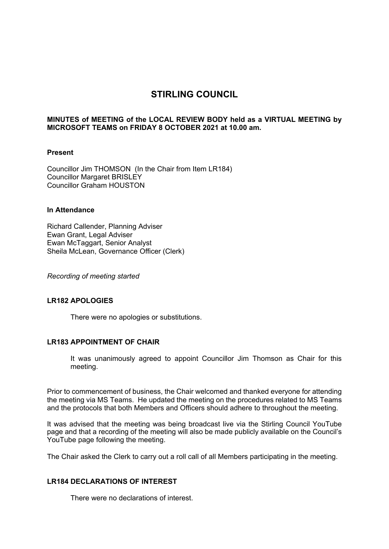# **STIRLING COUNCIL**

## **MINUTES of MEETING of the LOCAL REVIEW BODY held as a VIRTUAL MEETING by MICROSOFT TEAMS on FRIDAY 8 OCTOBER 2021 at 10.00 am.**

#### **Present**

Councillor Jim THOMSON (In the Chair from Item LR184) Councillor Margaret BRISLEY Councillor Graham HOUSTON

## **In Attendance**

Richard Callender, Planning Adviser Ewan Grant, Legal Adviser Ewan McTaggart, Senior Analyst Sheila McLean, Governance Officer (Clerk)

*Recording of meeting started* 

# **LR182 APOLOGIES**

There were no apologies or substitutions.

#### **LR183 APPOINTMENT OF CHAIR**

It was unanimously agreed to appoint Councillor Jim Thomson as Chair for this meeting.

Prior to commencement of business, the Chair welcomed and thanked everyone for attending the meeting via MS Teams. He updated the meeting on the procedures related to MS Teams and the protocols that both Members and Officers should adhere to throughout the meeting.

It was advised that the meeting was being broadcast live via the Stirling Council YouTube page and that a recording of the meeting will also be made publicly available on the Council's YouTube page following the meeting.

The Chair asked the Clerk to carry out a roll call of all Members participating in the meeting.

# **LR184 DECLARATIONS OF INTEREST**

There were no declarations of interest.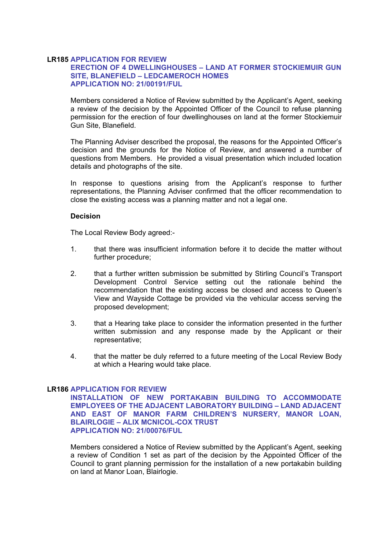# **LR185 APPLICATION FOR REVIEW**

# **ERECTION OF 4 DWELLINGHOUSES – LAND AT FORMER STOCKIEMUIR GUN SITE, BLANEFIELD – LEDCAMEROCH HOMES APPLICATION NO: 21/00191/FUL**

Members considered a Notice of Review submitted by the Applicant's Agent, seeking a review of the decision by the Appointed Officer of the Council to refuse planning permission for the erection of four dwellinghouses on land at the former Stockiemuir Gun Site, Blanefield.

The Planning Adviser described the proposal, the reasons for the Appointed Officer's decision and the grounds for the Notice of Review, and answered a number of questions from Members. He provided a visual presentation which included location details and photographs of the site.

In response to questions arising from the Applicant's response to further representations, the Planning Adviser confirmed that the officer recommendation to close the existing access was a planning matter and not a legal one.

### **Decision**

The Local Review Body agreed:-

- 1. that there was insufficient information before it to decide the matter without further procedure;
- 2. that a further written submission be submitted by Stirling Council's Transport Development Control Service setting out the rationale behind the recommendation that the existing access be closed and access to Queen's View and Wayside Cottage be provided via the vehicular access serving the proposed development;
- 3. that a Hearing take place to consider the information presented in the further written submission and any response made by the Applicant or their representative;
- 4. that the matter be duly referred to a future meeting of the Local Review Body at which a Hearing would take place.

#### **LR186 APPLICATION FOR REVIEW**

**INSTALLATION OF NEW PORTAKABIN BUILDING TO ACCOMMODATE EMPLOYEES OF THE ADJACENT LABORATORY BUILDING – LAND ADJACENT AND EAST OF MANOR FARM CHILDREN'S NURSERY, MANOR LOAN, BLAIRLOGIE – ALIX MCNICOL-COX TRUST APPLICATION NO: 21/00076/FUL** 

Members considered a Notice of Review submitted by the Applicant's Agent, seeking a review of Condition 1 set as part of the decision by the Appointed Officer of the Council to grant planning permission for the installation of a new portakabin building on land at Manor Loan, Blairlogie.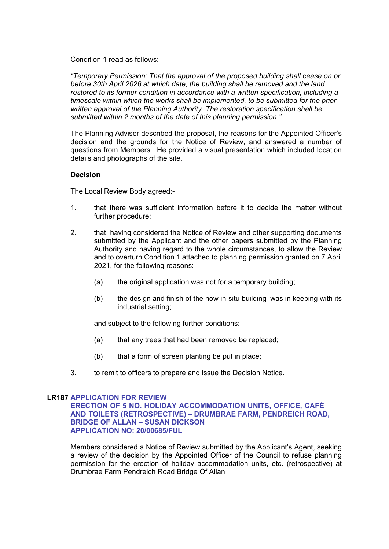Condition 1 read as follows:-

*"Temporary Permission: That the approval of the proposed building shall cease on or before 30th April 2026 at which date, the building shall be removed and the land restored to its former condition in accordance with a written specification, including a timescale within which the works shall be implemented, to be submitted for the prior written approval of the Planning Authority. The restoration specification shall be submitted within 2 months of the date of this planning permission."* 

The Planning Adviser described the proposal, the reasons for the Appointed Officer's decision and the grounds for the Notice of Review, and answered a number of questions from Members. He provided a visual presentation which included location details and photographs of the site.

#### **Decision**

The Local Review Body agreed:-

- 1. that there was sufficient information before it to decide the matter without further procedure;
- 2. that, having considered the Notice of Review and other supporting documents submitted by the Applicant and the other papers submitted by the Planning Authority and having regard to the whole circumstances, to allow the Review and to overturn Condition 1 attached to planning permission granted on 7 April 2021, for the following reasons:-
	- (a) the original application was not for a temporary building;
	- (b) the design and finish of the now in-situ building was in keeping with its industrial setting;

and subject to the following further conditions:-

- (a) that any trees that had been removed be replaced;
- (b) that a form of screen planting be put in place;
- 3. to remit to officers to prepare and issue the Decision Notice.

# **LR187 APPLICATION FOR REVIEW**

**ERECTION OF 5 NO. HOLIDAY ACCOMMODATION UNITS, OFFICE, CAFÉ AND TOILETS (RETROSPECTIVE) – DRUMBRAE FARM, PENDREICH ROAD, BRIDGE OF ALLAN – SUSAN DICKSON APPLICATION NO: 20/00685/FUL** 

Members considered a Notice of Review submitted by the Applicant's Agent, seeking a review of the decision by the Appointed Officer of the Council to refuse planning permission for the erection of holiday accommodation units, etc. (retrospective) at Drumbrae Farm Pendreich Road Bridge Of Allan